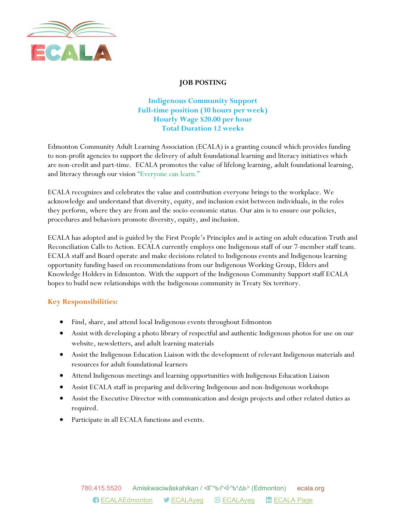

#### JOB POSTING

## Indigenous Community Support Full-time position (30 hours per week) Hourly Wage \$20.00 per hour Total Duration 12 weeks

Edmonton Community Adult Learning Association (ECALA) is a granting council which provides funding to non-profit agencies to support the delivery of adult foundational learning and literacy initiatives which are non-credit and part-time. ECALA promotes the value of lifelong learning, adult foundational learning, and literacy through our vision "Everyone can learn."

ECALA recognizes and celebrates the value and contribution everyone brings to the workplace. We acknowledge and understand that diversity, equity, and inclusion exist between individuals, in the roles they perform, where they are from and the socio-economic status. Our aim is to ensure our policies, procedures and behaviors promote diversity, equity, and inclusion.

ECALA has adopted and is guided by the First People's Principles and is acting on adult education Truth and Reconciliation Calls to Action. ECALA currently employs one Indigenous staff of our 7-member staff team. ECALA staff and Board operate and make decisions related to Indigenous events and Indigenous learning opportunity funding based on recommendations from our Indigenous Working Group, Elders and Knowledge Holders in Edmonton. With the support of the Indigenous Community Support staff ECALA hopes to build new relationships with the Indigenous community in Treaty Six territory.

### Key Responsibilities:

- Find, share, and attend local Indigenous events throughout Edmonton
- Assist with developing a photo library of respectful and authentic Indigenous photos for use on our website, newsletters, and adult learning materials
- Assist the Indigenous Education Liaison with the development of relevant Indigenous materials and resources for adult foundational learners
- Attend Indigenous meetings and learning opportunities with Indigenous Education Liaison
- Assist ECALA staff in preparing and delivering Indigenous and non-Indigenous workshops
- Assist the Executive Director with communication and design projects and other related duties as required.
- Participate in all ECALA functions and events.